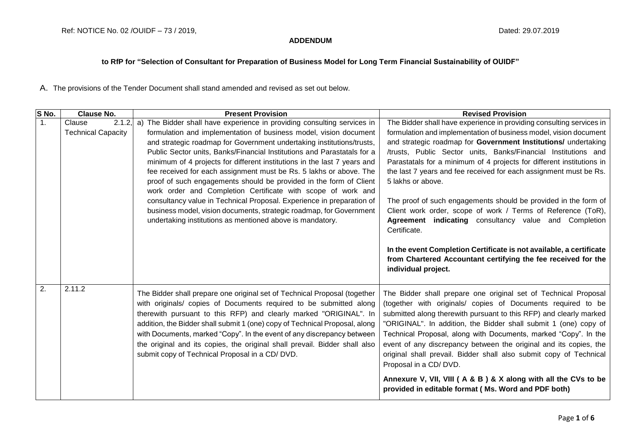## **ADDENDUM**

## **to RfP for "Selection of Consultant for Preparation of Business Model for Long Term Financial Sustainability of OUIDF"**

A. The provisions of the Tender Document shall stand amended and revised as set out below.

| S No. | <b>Clause No.</b>                                | <b>Present Provision</b>                                                                                                                                                                                                                                                                                                                                                                                                                                                                                                                                                                                                                                                                                                                                                                                 | <b>Revised Provision</b>                                                                                                                                                                                                                                                                                                                                                                                                                                                                                                                                                                                                                                                                                                                                                                                                    |
|-------|--------------------------------------------------|----------------------------------------------------------------------------------------------------------------------------------------------------------------------------------------------------------------------------------------------------------------------------------------------------------------------------------------------------------------------------------------------------------------------------------------------------------------------------------------------------------------------------------------------------------------------------------------------------------------------------------------------------------------------------------------------------------------------------------------------------------------------------------------------------------|-----------------------------------------------------------------------------------------------------------------------------------------------------------------------------------------------------------------------------------------------------------------------------------------------------------------------------------------------------------------------------------------------------------------------------------------------------------------------------------------------------------------------------------------------------------------------------------------------------------------------------------------------------------------------------------------------------------------------------------------------------------------------------------------------------------------------------|
| 1.    | $2.1.2$ ,<br>Clause<br><b>Technical Capacity</b> | The Bidder shall have experience in providing consulting services in<br>a)<br>formulation and implementation of business model, vision document<br>and strategic roadmap for Government undertaking institutions/trusts,<br>Public Sector units, Banks/Financial Institutions and Parastatals for a<br>minimum of 4 projects for different institutions in the last 7 years and<br>fee received for each assignment must be Rs. 5 lakhs or above. The<br>proof of such engagements should be provided in the form of Client<br>work order and Completion Certificate with scope of work and<br>consultancy value in Technical Proposal. Experience in preparation of<br>business model, vision documents, strategic roadmap, for Government<br>undertaking institutions as mentioned above is mandatory. | The Bidder shall have experience in providing consulting services in<br>formulation and implementation of business model, vision document<br>and strategic roadmap for Government Institutions/ undertaking<br>/trusts, Public Sector units, Banks/Financial Institutions and<br>Parastatals for a minimum of 4 projects for different institutions in<br>the last 7 years and fee received for each assignment must be Rs.<br>5 lakhs or above.<br>The proof of such engagements should be provided in the form of<br>Client work order, scope of work / Terms of Reference (ToR),<br>Agreement indicating consultancy value and Completion<br>Certificate.<br>In the event Completion Certificate is not available, a certificate<br>from Chartered Accountant certifying the fee received for the<br>individual project. |
| 2.    | 2.11.2                                           | The Bidder shall prepare one original set of Technical Proposal (together<br>with originals/ copies of Documents required to be submitted along<br>therewith pursuant to this RFP) and clearly marked "ORIGINAL". In<br>addition, the Bidder shall submit 1 (one) copy of Technical Proposal, along<br>with Documents, marked "Copy". In the event of any discrepancy between<br>the original and its copies, the original shall prevail. Bidder shall also<br>submit copy of Technical Proposal in a CD/ DVD.                                                                                                                                                                                                                                                                                           | The Bidder shall prepare one original set of Technical Proposal<br>(together with originals/ copies of Documents required to be<br>submitted along therewith pursuant to this RFP) and clearly marked<br>"ORIGINAL". In addition, the Bidder shall submit 1 (one) copy of<br>Technical Proposal, along with Documents, marked "Copy". In the<br>event of any discrepancy between the original and its copies, the<br>original shall prevail. Bidder shall also submit copy of Technical<br>Proposal in a CD/DVD.<br>Annexure V, VII, VIII (A & B) & X along with all the CVs to be<br>provided in editable format (Ms. Word and PDF both)                                                                                                                                                                                   |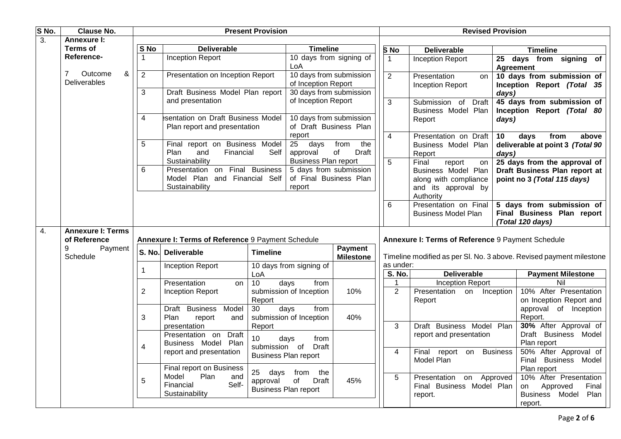| S No. | <b>Clause No.</b>                                                                                                                                                                                                                                       | <b>Present Provision</b>                           |                                                                                                     |                               |                                                                                           | <b>Revised Provision</b>           |                 |                                                                                                           |                                                          |                                                                                              |  |
|-------|---------------------------------------------------------------------------------------------------------------------------------------------------------------------------------------------------------------------------------------------------------|----------------------------------------------------|-----------------------------------------------------------------------------------------------------|-------------------------------|-------------------------------------------------------------------------------------------|------------------------------------|-----------------|-----------------------------------------------------------------------------------------------------------|----------------------------------------------------------|----------------------------------------------------------------------------------------------|--|
| 3.    | <b>Annexure I:</b>                                                                                                                                                                                                                                      |                                                    |                                                                                                     |                               |                                                                                           |                                    |                 |                                                                                                           |                                                          |                                                                                              |  |
|       | Terms of                                                                                                                                                                                                                                                | S No                                               | <b>Deliverable</b>                                                                                  |                               | <b>Timeline</b>                                                                           |                                    | S <sub>No</sub> | <b>Deliverable</b>                                                                                        |                                                          | <b>Timeline</b>                                                                              |  |
|       | Reference-                                                                                                                                                                                                                                              | $\mathbf{1}$                                       | <b>Inception Report</b>                                                                             |                               | 10 days from signing of<br>LoA                                                            |                                    | $\mathbf{1}$    | <b>Inception Report</b>                                                                                   | 25<br>Agreement                                          | days from signing of                                                                         |  |
|       | Outcome<br>&<br>7<br><b>Deliverables</b>                                                                                                                                                                                                                | $\overline{2}$<br>Presentation on Inception Report |                                                                                                     |                               | 10 days from submission<br>of Inception Report                                            |                                    | $\overline{2}$  | Presentation<br>on<br><b>Inception Report</b>                                                             | 10 days from submission of<br>Inception Report (Total 35 |                                                                                              |  |
|       | 3<br>Draft Business Model Plan report<br>30 days from submission<br>and presentation<br>of Inception Report<br>sentation on Draft Business Model<br>10 days from submission<br>$\overline{4}$<br>of Draft Business Plan<br>Plan report and presentation |                                                    |                                                                                                     |                               | $\mathfrak{S}$                                                                            | Submission of Draft                |                 | days)<br>45 days from submission of                                                                       |                                                          |                                                                                              |  |
|       |                                                                                                                                                                                                                                                         |                                                    |                                                                                                     | Business Model Plan<br>Report | Inception Report (Total 80<br>days)                                                       |                                    |                 |                                                                                                           |                                                          |                                                                                              |  |
|       |                                                                                                                                                                                                                                                         | 5                                                  | Final report on Business Model<br>Plan<br>and<br>Financial                                          | Self                          | report<br>25<br>days<br>approval                                                          | from<br>the<br>of<br><b>Draft</b>  | $\overline{4}$  | Presentation on Draft<br>Business Model Plan<br>Report                                                    | 10<br>days)                                              | days<br>from<br>above<br>deliverable at point 3 (Total 90                                    |  |
|       |                                                                                                                                                                                                                                                         | 6                                                  | Sustainability<br>Presentation on Final Business<br>Model Plan and Financial Self<br>Sustainability |                               | <b>Business Plan report</b><br>5 days from submission<br>of Final Business Plan<br>report |                                    | $\overline{5}$  | report<br>Final<br>on<br>Business Model Plan<br>along with compliance<br>and its approval by<br>Authority |                                                          | 25 days from the approval of<br>Draft Business Plan report at<br>point no 3 (Total 115 days) |  |
|       |                                                                                                                                                                                                                                                         |                                                    |                                                                                                     |                               |                                                                                           |                                    | $6\phantom{a}$  | Presentation on Final<br><b>Business Model Plan</b>                                                       |                                                          | 5 days from submission of<br>Final Business Plan report<br>(Total 120 days)                  |  |
| 4.    | <b>Annexure I: Terms</b><br>of Reference                                                                                                                                                                                                                |                                                    | Annexure I: Terms of Reference 9 Payment Schedule                                                   |                               |                                                                                           |                                    |                 | Annexure I: Terms of Reference 9 Payment Schedule                                                         |                                                          |                                                                                              |  |
|       | 9<br>Payment<br>Schedule                                                                                                                                                                                                                                | <b>S. No.</b>                                      | <b>Deliverable</b>                                                                                  | <b>Timeline</b>               |                                                                                           | <b>Payment</b><br><b>Milestone</b> |                 |                                                                                                           |                                                          | Timeline modified as per SI. No. 3 above. Revised payment milestone                          |  |
|       |                                                                                                                                                                                                                                                         | $\mathbf{1}$                                       | <b>Inception Report</b>                                                                             |                               | 10 days from signing of                                                                   |                                    | as under:       |                                                                                                           |                                                          |                                                                                              |  |
|       |                                                                                                                                                                                                                                                         |                                                    | Presentation                                                                                        | LoA<br>10                     | days                                                                                      |                                    | S. No.<br>1     | <b>Deliverable</b><br><b>Inception Report</b>                                                             |                                                          | <b>Payment Milestone</b><br>Nil                                                              |  |
|       |                                                                                                                                                                                                                                                         | $\overline{2}$                                     | on<br><b>Inception Report</b>                                                                       | Report                        | from<br>submission of Inception                                                           | 10%                                | $\overline{2}$  | Presentation<br>on<br>Report                                                                              | Inception                                                | 10% After Presentation<br>on Inception Report and                                            |  |
|       |                                                                                                                                                                                                                                                         | 3                                                  | Draft Business Model<br>Plan<br>report<br>and                                                       | $\overline{30}$               | days<br>from<br>submission of Inception                                                   | 40%                                | 3               | Draft Business Model Plan                                                                                 |                                                          | approval of Inception<br>Report.<br>30% After Approval of                                    |  |
|       |                                                                                                                                                                                                                                                         | 4                                                  | presentation<br>Presentation on<br><b>Draft</b><br>Business Model Plan                              | Report<br>10<br>submission of | days<br>from<br>Draft                                                                     |                                    |                 | report and presentation                                                                                   |                                                          | Draft Business Model<br>Plan report                                                          |  |
|       |                                                                                                                                                                                                                                                         |                                                    | report and presentation                                                                             |                               | <b>Business Plan report</b>                                                               |                                    | $\overline{4}$  | Final report on Business<br>Model Plan                                                                    |                                                          | 50% After Approval of<br>Final Business Model                                                |  |
|       |                                                                                                                                                                                                                                                         | 5                                                  | Final report on Business<br>Plan<br>Model<br>and<br>Financial<br>Self-<br>Sustainability            | 25<br>days<br>approval        | from<br>the<br>of<br>Draft<br>Business Plan report                                        | 45%                                | 5               | on Approved<br>Presentation<br>Final Business Model Plan<br>report.                                       |                                                          | Plan report<br>10% After Presentation<br>Approved<br>Final<br>on<br>Plan<br>Business Model   |  |
|       |                                                                                                                                                                                                                                                         |                                                    |                                                                                                     |                               |                                                                                           |                                    |                 |                                                                                                           |                                                          | report.                                                                                      |  |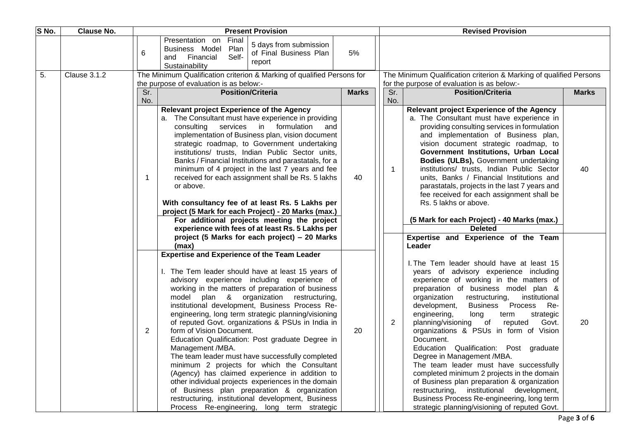| S No. | <b>Clause No.</b> |     | <b>Present Provision</b>                                                                                                                                                                                                                                                                                                                                                                                                                                                                                                                                                                                                                                                                                                                                                                                                                                                                       |              |  | <b>Revised Provision</b>                                           |                                                                                                                                                                                                                                                                                                                                                                                                                                                                                                                                                                                                                                                                                                                                                                               |              |  |
|-------|-------------------|-----|------------------------------------------------------------------------------------------------------------------------------------------------------------------------------------------------------------------------------------------------------------------------------------------------------------------------------------------------------------------------------------------------------------------------------------------------------------------------------------------------------------------------------------------------------------------------------------------------------------------------------------------------------------------------------------------------------------------------------------------------------------------------------------------------------------------------------------------------------------------------------------------------|--------------|--|--------------------------------------------------------------------|-------------------------------------------------------------------------------------------------------------------------------------------------------------------------------------------------------------------------------------------------------------------------------------------------------------------------------------------------------------------------------------------------------------------------------------------------------------------------------------------------------------------------------------------------------------------------------------------------------------------------------------------------------------------------------------------------------------------------------------------------------------------------------|--------------|--|
|       |                   | 6   | Presentation on<br>Final<br>5 days from submission<br>Business Model<br>Plan<br>of Final Business Plan<br>Self-<br>Financial<br>and<br>report<br>Sustainability                                                                                                                                                                                                                                                                                                                                                                                                                                                                                                                                                                                                                                                                                                                                | 5%           |  |                                                                    |                                                                                                                                                                                                                                                                                                                                                                                                                                                                                                                                                                                                                                                                                                                                                                               |              |  |
| 5.    | Clause 3.1.2      |     | The Minimum Qualification criterion & Marking of qualified Persons for                                                                                                                                                                                                                                                                                                                                                                                                                                                                                                                                                                                                                                                                                                                                                                                                                         |              |  | The Minimum Qualification criterion & Marking of qualified Persons |                                                                                                                                                                                                                                                                                                                                                                                                                                                                                                                                                                                                                                                                                                                                                                               |              |  |
|       |                   | Sr. | the purpose of evaluation is as below:-<br><b>Position/Criteria</b>                                                                                                                                                                                                                                                                                                                                                                                                                                                                                                                                                                                                                                                                                                                                                                                                                            | <b>Marks</b> |  | Sr.                                                                | for the purpose of evaluation is as below:-<br><b>Position/Criteria</b>                                                                                                                                                                                                                                                                                                                                                                                                                                                                                                                                                                                                                                                                                                       | <b>Marks</b> |  |
|       |                   | No. |                                                                                                                                                                                                                                                                                                                                                                                                                                                                                                                                                                                                                                                                                                                                                                                                                                                                                                |              |  | No.                                                                |                                                                                                                                                                                                                                                                                                                                                                                                                                                                                                                                                                                                                                                                                                                                                                               |              |  |
|       |                   | 1   | <b>Relevant project Experience of the Agency</b><br>a. The Consultant must have experience in providing<br>consulting services in formulation<br>and<br>implementation of Business plan, vision document<br>strategic roadmap, to Government undertaking<br>institutions/ trusts, Indian Public Sector units,<br>Banks / Financial Institutions and parastatals, for a<br>minimum of 4 project in the last 7 years and fee<br>received for each assignment shall be Rs. 5 lakhs<br>or above.<br>With consultancy fee of at least Rs. 5 Lakhs per<br>project (5 Mark for each Project) - 20 Marks (max.)<br>For additional projects meeting the project<br>experience with fees of at least Rs. 5 Lakhs per                                                                                                                                                                                     | 40           |  | 1                                                                  | <b>Relevant project Experience of the Agency</b><br>a. The Consultant must have experience in<br>providing consulting services in formulation<br>and implementation of Business plan,<br>vision document strategic roadmap, to<br>Government Institutions, Urban Local<br>Bodies (ULBs), Government undertaking<br>institutions/ trusts, Indian Public Sector<br>units, Banks / Financial Institutions and<br>parastatals, projects in the last 7 years and<br>fee received for each assignment shall be<br>Rs. 5 lakhs or above.<br>(5 Mark for each Project) - 40 Marks (max.)<br><b>Deleted</b>                                                                                                                                                                            | 40           |  |
|       |                   |     | project (5 Marks for each project) – 20 Marks<br>(max)                                                                                                                                                                                                                                                                                                                                                                                                                                                                                                                                                                                                                                                                                                                                                                                                                                         |              |  |                                                                    | Expertise and Experience of the Team<br>Leader                                                                                                                                                                                                                                                                                                                                                                                                                                                                                                                                                                                                                                                                                                                                |              |  |
|       |                   | 2   | <b>Expertise and Experience of the Team Leader</b><br>I. The Tem leader should have at least 15 years of<br>advisory experience including experience of<br>working in the matters of preparation of business<br>plan & organization restructuring,<br>model<br>institutional development, Business Process Re-<br>engineering, long term strategic planning/visioning<br>of reputed Govt. organizations & PSUs in India in<br>form of Vision Document.<br>Education Qualification: Post graduate Degree in<br>Management /MBA.<br>The team leader must have successfully completed<br>minimum 2 projects for which the Consultant<br>(Agency) has claimed experience in addition to<br>other individual projects experiences in the domain<br>of Business plan preparation & organization<br>restructuring, institutional development, Business<br>Process Re-engineering, long term strategic | 20           |  | $\overline{2}$                                                     | I. The Tem leader should have at least 15<br>years of advisory experience including<br>experience of working in the matters of<br>preparation of business model plan &<br>organization<br>restructuring,<br>institutional<br>development,<br>Business Process<br>Re-<br>engineering,<br>long<br>term<br>strategic<br>planning/visioning of reputed<br>Govt.<br>organizations & PSUs in form of Vision<br>Document.<br>Education Qualification: Post graduate<br>Degree in Management /MBA.<br>The team leader must have successfully<br>completed minimum 2 projects in the domain<br>of Business plan preparation & organization<br>restructuring, institutional development,<br>Business Process Re-engineering, long term<br>strategic planning/visioning of reputed Govt. | 20           |  |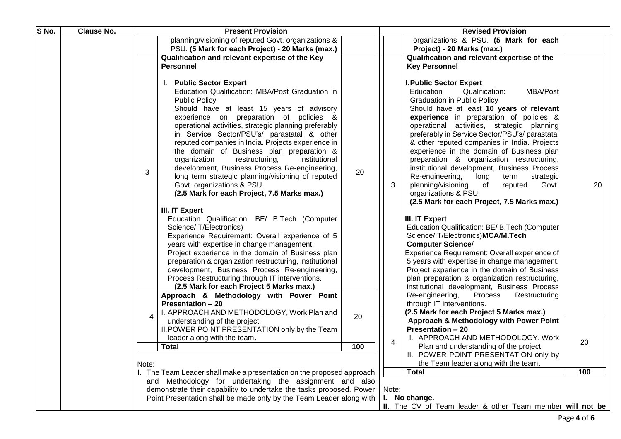| S No. | <b>Clause No.</b> | <b>Present Provision</b><br><b>Revised Provision</b>                                                                                                                                                                                                                                                                                                                                                                                                                                                                                                                                                                                                                                                                                                                                                                                                                                                                                                                                                                                                                                                                                                                                                                                                                                                                                                                                                                        |                                                             |  |  |  |  |  |
|-------|-------------------|-----------------------------------------------------------------------------------------------------------------------------------------------------------------------------------------------------------------------------------------------------------------------------------------------------------------------------------------------------------------------------------------------------------------------------------------------------------------------------------------------------------------------------------------------------------------------------------------------------------------------------------------------------------------------------------------------------------------------------------------------------------------------------------------------------------------------------------------------------------------------------------------------------------------------------------------------------------------------------------------------------------------------------------------------------------------------------------------------------------------------------------------------------------------------------------------------------------------------------------------------------------------------------------------------------------------------------------------------------------------------------------------------------------------------------|-------------------------------------------------------------|--|--|--|--|--|
|       |                   | organizations & PSU. (5 Mark for each<br>planning/visioning of reputed Govt. organizations &                                                                                                                                                                                                                                                                                                                                                                                                                                                                                                                                                                                                                                                                                                                                                                                                                                                                                                                                                                                                                                                                                                                                                                                                                                                                                                                                |                                                             |  |  |  |  |  |
|       |                   | PSU. (5 Mark for each Project) - 20 Marks (max.)<br>Project) - 20 Marks (max.)                                                                                                                                                                                                                                                                                                                                                                                                                                                                                                                                                                                                                                                                                                                                                                                                                                                                                                                                                                                                                                                                                                                                                                                                                                                                                                                                              |                                                             |  |  |  |  |  |
|       |                   | Qualification and relevant expertise of the<br>Qualification and relevant expertise of the Key                                                                                                                                                                                                                                                                                                                                                                                                                                                                                                                                                                                                                                                                                                                                                                                                                                                                                                                                                                                                                                                                                                                                                                                                                                                                                                                              |                                                             |  |  |  |  |  |
|       |                   | <b>Personnel</b><br><b>Key Personnel</b>                                                                                                                                                                                                                                                                                                                                                                                                                                                                                                                                                                                                                                                                                                                                                                                                                                                                                                                                                                                                                                                                                                                                                                                                                                                                                                                                                                                    |                                                             |  |  |  |  |  |
|       |                   | I. Public Sector Expert<br><b>I. Public Sector Expert</b><br>Education Qualification: MBA/Post Graduation in<br>Education<br>Qualification:<br>MBA/Post<br><b>Public Policy</b><br><b>Graduation in Public Policy</b><br>Should have at least 15 years of advisory<br>Should have at least 10 years of relevant<br>experience on preparation of policies &<br>experience in preparation of policies &<br>operational activities, strategic planning preferably<br>operational activities, strategic planning<br>in Service Sector/PSU's/ parastatal & other<br>preferably in Service Sector/PSU's/ parastatal<br>reputed companies in India. Projects experience in<br>& other reputed companies in India. Projects<br>experience in the domain of Business plan<br>the domain of Business plan preparation &<br>organization<br>institutional<br>preparation & organization restructuring,<br>restructuring,<br>development, Business Process Re-engineering,<br>institutional development, Business Process<br>20<br>3<br>long term strategic planning/visioning of reputed<br>Re-engineering,<br>long<br>term<br>strategic<br>3<br>Govt. organizations & PSU.<br>planning/visioning<br>of<br>Govt.<br>reputed<br>(2.5 Mark for each Project, 7.5 Marks max.)<br>organizations & PSU.<br>(2.5 Mark for each Project, 7.5 Marks max.)<br>III. IT Expert<br>Education Qualification: BE/ B.Tech (Computer<br>III. IT Expert | 20                                                          |  |  |  |  |  |
|       |                   | Science/IT/Electronics)<br>Education Qualification: BE/ B.Tech (Computer<br>Science/IT/Electronics)MCA/M.Tech<br>Experience Requirement: Overall experience of 5<br><b>Computer Science/</b><br>years with expertise in change management.<br>Experience Requirement: Overall experience of<br>Project experience in the domain of Business plan<br>5 years with expertise in change management.<br>preparation & organization restructuring, institutional<br>Project experience in the domain of Business<br>development, Business Process Re-engineering,<br>Process Restructuring through IT interventions.<br>plan preparation & organization restructuring,<br>(2.5 Mark for each Project 5 Marks max.)<br>institutional development, Business Process                                                                                                                                                                                                                                                                                                                                                                                                                                                                                                                                                                                                                                                                |                                                             |  |  |  |  |  |
|       |                   | Approach & Methodology with Power Point<br>Re-engineering,<br>Process<br>Restructuring                                                                                                                                                                                                                                                                                                                                                                                                                                                                                                                                                                                                                                                                                                                                                                                                                                                                                                                                                                                                                                                                                                                                                                                                                                                                                                                                      |                                                             |  |  |  |  |  |
|       |                   | <b>Presentation - 20</b><br>through IT interventions.                                                                                                                                                                                                                                                                                                                                                                                                                                                                                                                                                                                                                                                                                                                                                                                                                                                                                                                                                                                                                                                                                                                                                                                                                                                                                                                                                                       |                                                             |  |  |  |  |  |
|       |                   | I. APPROACH AND METHODOLOGY, Work Plan and<br>(2.5 Mark for each Project 5 Marks max.)<br>20<br>4                                                                                                                                                                                                                                                                                                                                                                                                                                                                                                                                                                                                                                                                                                                                                                                                                                                                                                                                                                                                                                                                                                                                                                                                                                                                                                                           |                                                             |  |  |  |  |  |
|       |                   | Approach & Methodology with Power Point<br>understanding of the project.<br>II. POWER POINT PRESENTATION only by the Team<br><b>Presentation - 20</b>                                                                                                                                                                                                                                                                                                                                                                                                                                                                                                                                                                                                                                                                                                                                                                                                                                                                                                                                                                                                                                                                                                                                                                                                                                                                       |                                                             |  |  |  |  |  |
|       |                   | I. APPROACH AND METHODOLOGY, Work<br>leader along with the team.                                                                                                                                                                                                                                                                                                                                                                                                                                                                                                                                                                                                                                                                                                                                                                                                                                                                                                                                                                                                                                                                                                                                                                                                                                                                                                                                                            |                                                             |  |  |  |  |  |
|       |                   | $\overline{4}$<br>Plan and understanding of the project.<br><b>Total</b><br>100                                                                                                                                                                                                                                                                                                                                                                                                                                                                                                                                                                                                                                                                                                                                                                                                                                                                                                                                                                                                                                                                                                                                                                                                                                                                                                                                             | 20                                                          |  |  |  |  |  |
|       |                   | II. POWER POINT PRESENTATION only by                                                                                                                                                                                                                                                                                                                                                                                                                                                                                                                                                                                                                                                                                                                                                                                                                                                                                                                                                                                                                                                                                                                                                                                                                                                                                                                                                                                        |                                                             |  |  |  |  |  |
|       |                   | the Team leader along with the team.<br>Note:                                                                                                                                                                                                                                                                                                                                                                                                                                                                                                                                                                                                                                                                                                                                                                                                                                                                                                                                                                                                                                                                                                                                                                                                                                                                                                                                                                               |                                                             |  |  |  |  |  |
|       |                   | <b>Total</b><br>I. The Team Leader shall make a presentation on the proposed approach                                                                                                                                                                                                                                                                                                                                                                                                                                                                                                                                                                                                                                                                                                                                                                                                                                                                                                                                                                                                                                                                                                                                                                                                                                                                                                                                       | 100                                                         |  |  |  |  |  |
|       |                   | and Methodology for undertaking the assignment and also                                                                                                                                                                                                                                                                                                                                                                                                                                                                                                                                                                                                                                                                                                                                                                                                                                                                                                                                                                                                                                                                                                                                                                                                                                                                                                                                                                     |                                                             |  |  |  |  |  |
|       |                   | demonstrate their capability to undertake the tasks proposed. Power<br>Note:                                                                                                                                                                                                                                                                                                                                                                                                                                                                                                                                                                                                                                                                                                                                                                                                                                                                                                                                                                                                                                                                                                                                                                                                                                                                                                                                                |                                                             |  |  |  |  |  |
|       |                   | Point Presentation shall be made only by the Team Leader along with<br>No change.<br>L.                                                                                                                                                                                                                                                                                                                                                                                                                                                                                                                                                                                                                                                                                                                                                                                                                                                                                                                                                                                                                                                                                                                                                                                                                                                                                                                                     |                                                             |  |  |  |  |  |
|       |                   |                                                                                                                                                                                                                                                                                                                                                                                                                                                                                                                                                                                                                                                                                                                                                                                                                                                                                                                                                                                                                                                                                                                                                                                                                                                                                                                                                                                                                             | Ш.<br>The CV of Team leader & other Team member will not be |  |  |  |  |  |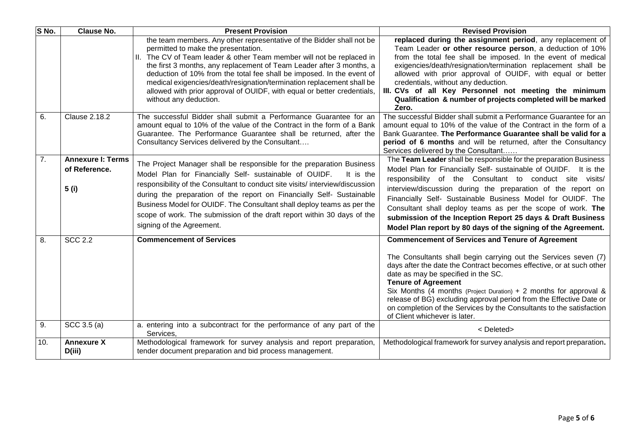| S No.            | <b>Clause No.</b>                                  | <b>Present Provision</b>                                                                                                                                                                                                                                                                                                                                                                                                                                                                                                                      | <b>Revised Provision</b>                                                                                                                                                                                                                                                                                                                                                                                                                                                                                                        |
|------------------|----------------------------------------------------|-----------------------------------------------------------------------------------------------------------------------------------------------------------------------------------------------------------------------------------------------------------------------------------------------------------------------------------------------------------------------------------------------------------------------------------------------------------------------------------------------------------------------------------------------|---------------------------------------------------------------------------------------------------------------------------------------------------------------------------------------------------------------------------------------------------------------------------------------------------------------------------------------------------------------------------------------------------------------------------------------------------------------------------------------------------------------------------------|
|                  |                                                    | the team members. Any other representative of the Bidder shall not be<br>permitted to make the presentation.<br>The CV of Team leader & other Team member will not be replaced in<br>$\mathbf{H}_{\mathbf{r}}$<br>the first 3 months, any replacement of Team Leader after 3 months, a<br>deduction of 10% from the total fee shall be imposed. In the event of<br>medical exigencies/death/resignation/termination replacement shall be<br>allowed with prior approval of OUIDF, with equal or better credentials,<br>without any deduction. | replaced during the assignment period, any replacement of<br>Team Leader or other resource person, a deduction of 10%<br>from the total fee shall be imposed. In the event of medical<br>exigencies/death/resignation/termination replacement shall be<br>allowed with prior approval of OUIDF, with equal or better<br>credentials, without any deduction.<br>III. CVs of all Key Personnel not meeting the minimum<br>Qualification & number of projects completed will be marked<br>Zero.                                    |
| 6.               | <b>Clause 2.18.2</b>                               | The successful Bidder shall submit a Performance Guarantee for an<br>amount equal to 10% of the value of the Contract in the form of a Bank<br>Guarantee. The Performance Guarantee shall be returned, after the<br>Consultancy Services delivered by the Consultant                                                                                                                                                                                                                                                                          | The successful Bidder shall submit a Performance Guarantee for an<br>amount equal to 10% of the value of the Contract in the form of a<br>Bank Guarantee. The Performance Guarantee shall be valid for a<br>period of 6 months and will be returned, after the Consultancy<br>Services delivered by the Consultant                                                                                                                                                                                                              |
| $\overline{7}$ . | <b>Annexure I: Terms</b><br>of Reference.<br>5 (i) | The Project Manager shall be responsible for the preparation Business<br>Model Plan for Financially Self- sustainable of OUIDF.<br>It is the<br>responsibility of the Consultant to conduct site visits/ interview/discussion<br>during the preparation of the report on Financially Self- Sustainable<br>Business Model for OUIDF. The Consultant shall deploy teams as per the<br>scope of work. The submission of the draft report within 30 days of the<br>signing of the Agreement.                                                      | The Team Leader shall be responsible for the preparation Business<br>Model Plan for Financially Self- sustainable of OUIDF. It is the<br>responsibility of the Consultant to conduct site visits/<br>interview/discussion during the preparation of the report on<br>Financially Self- Sustainable Business Model for OUIDF. The<br>Consultant shall deploy teams as per the scope of work. The<br>submission of the Inception Report 25 days & Draft Business<br>Model Plan report by 80 days of the signing of the Agreement. |
| 8.               | <b>SCC 2.2</b>                                     | <b>Commencement of Services</b>                                                                                                                                                                                                                                                                                                                                                                                                                                                                                                               | <b>Commencement of Services and Tenure of Agreement</b><br>The Consultants shall begin carrying out the Services seven (7)<br>days after the date the Contract becomes effective, or at such other<br>date as may be specified in the SC.<br><b>Tenure of Agreement</b><br>Six Months (4 months (Project Duration) + 2 months for approval &<br>release of BG) excluding approval period from the Effective Date or<br>on completion of the Services by the Consultants to the satisfaction<br>of Client whichever is later.    |
| 9.               | SCC $3.5(a)$                                       | a. entering into a subcontract for the performance of any part of the<br>Services,                                                                                                                                                                                                                                                                                                                                                                                                                                                            | <deleted></deleted>                                                                                                                                                                                                                                                                                                                                                                                                                                                                                                             |
| 10.              | <b>Annexure X</b><br>D(iii)                        | Methodological framework for survey analysis and report preparation,<br>tender document preparation and bid process management.                                                                                                                                                                                                                                                                                                                                                                                                               | Methodological framework for survey analysis and report preparation.                                                                                                                                                                                                                                                                                                                                                                                                                                                            |